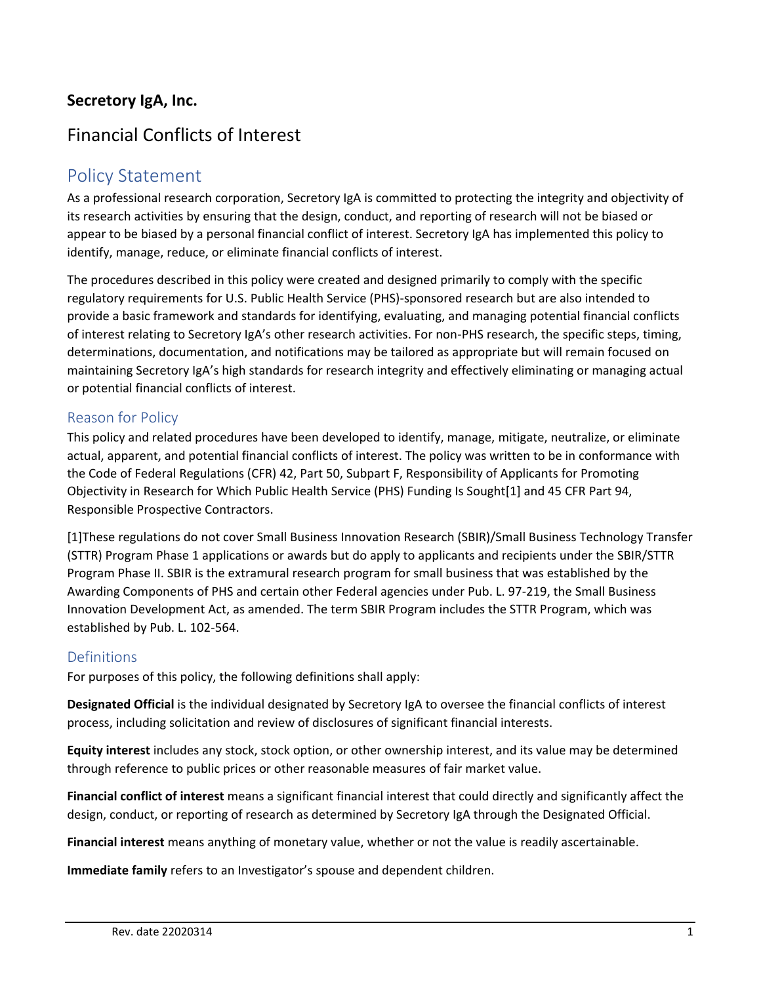# **Secretory IgA, Inc.**

# Financial Conflicts of Interest

# Policy Statement

As a professional research corporation, Secretory IgA is committed to protecting the integrity and objectivity of its research activities by ensuring that the design, conduct, and reporting of research will not be biased or appear to be biased by a personal financial conflict of interest. Secretory IgA has implemented this policy to identify, manage, reduce, or eliminate financial conflicts of interest.

The procedures described in this policy were created and designed primarily to comply with the specific regulatory requirements for U.S. Public Health Service (PHS)-sponsored research but are also intended to provide a basic framework and standards for identifying, evaluating, and managing potential financial conflicts of interest relating to Secretory IgA's other research activities. For non-PHS research, the specific steps, timing, determinations, documentation, and notifications may be tailored as appropriate but will remain focused on maintaining Secretory IgA's high standards for research integrity and effectively eliminating or managing actual or potential financial conflicts of interest.

#### Reason for Policy

This policy and related procedures have been developed to identify, manage, mitigate, neutralize, or eliminate actual, apparent, and potential financial conflicts of interest. The policy was written to be in conformance with the Code of Federal Regulations (CFR) 42, Part 50, Subpart F, Responsibility of Applicants for Promoting Objectivity in Research for Which Public Health Service (PHS) Funding Is Sought[1] and 45 CFR Part 94, Responsible Prospective Contractors.

[1]These regulations do not cover Small Business Innovation Research (SBIR)/Small Business Technology Transfer (STTR) Program Phase 1 applications or awards but do apply to applicants and recipients under the SBIR/STTR Program Phase II. SBIR is the extramural research program for small business that was established by the Awarding Components of PHS and certain other Federal agencies under Pub. L. 97-219, the Small Business Innovation Development Act, as amended. The term SBIR Program includes the STTR Program, which was established by Pub. L. 102-564.

#### **Definitions**

For purposes of this policy, the following definitions shall apply:

**Designated Official** is the individual designated by Secretory IgA to oversee the financial conflicts of interest process, including solicitation and review of disclosures of significant financial interests.

**Equity interest** includes any stock, stock option, or other ownership interest, and its value may be determined through reference to public prices or other reasonable measures of fair market value.

**Financial conflict of interest** means a significant financial interest that could directly and significantly affect the design, conduct, or reporting of research as determined by Secretory IgA through the Designated Official.

**Financial interest** means anything of monetary value, whether or not the value is readily ascertainable.

**Immediate family** refers to an Investigator's spouse and dependent children.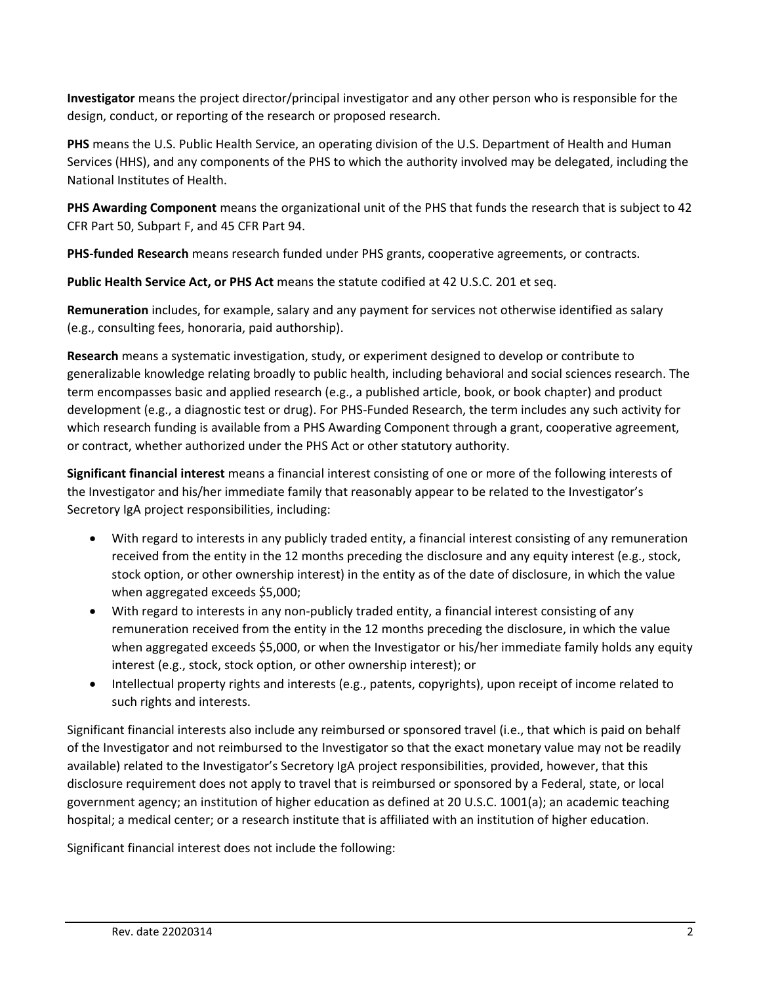**Investigator** means the project director/principal investigator and any other person who is responsible for the design, conduct, or reporting of the research or proposed research.

**PHS** means the U.S. Public Health Service, an operating division of the U.S. Department of Health and Human Services (HHS), and any components of the PHS to which the authority involved may be delegated, including the National Institutes of Health.

**PHS Awarding Component** means the organizational unit of the PHS that funds the research that is subject to 42 CFR Part 50, Subpart F, and 45 CFR Part 94.

**PHS-funded Research** means research funded under PHS grants, cooperative agreements, or contracts.

**Public Health Service Act, or PHS Act** means the statute codified at 42 U.S.C. 201 et seq.

**Remuneration** includes, for example, salary and any payment for services not otherwise identified as salary (e.g., consulting fees, honoraria, paid authorship).

**Research** means a systematic investigation, study, or experiment designed to develop or contribute to generalizable knowledge relating broadly to public health, including behavioral and social sciences research. The term encompasses basic and applied research (e.g., a published article, book, or book chapter) and product development (e.g., a diagnostic test or drug). For PHS-Funded Research, the term includes any such activity for which research funding is available from a PHS Awarding Component through a grant, cooperative agreement, or contract, whether authorized under the PHS Act or other statutory authority.

**Significant financial interest** means a financial interest consisting of one or more of the following interests of the Investigator and his/her immediate family that reasonably appear to be related to the Investigator's Secretory IgA project responsibilities, including:

- With regard to interests in any publicly traded entity, a financial interest consisting of any remuneration received from the entity in the 12 months preceding the disclosure and any equity interest (e.g., stock, stock option, or other ownership interest) in the entity as of the date of disclosure, in which the value when aggregated exceeds \$5,000;
- With regard to interests in any non-publicly traded entity, a financial interest consisting of any remuneration received from the entity in the 12 months preceding the disclosure, in which the value when aggregated exceeds \$5,000, or when the Investigator or his/her immediate family holds any equity interest (e.g., stock, stock option, or other ownership interest); or
- Intellectual property rights and interests (e.g., patents, copyrights), upon receipt of income related to such rights and interests.

Significant financial interests also include any reimbursed or sponsored travel (i.e., that which is paid on behalf of the Investigator and not reimbursed to the Investigator so that the exact monetary value may not be readily available) related to the Investigator's Secretory IgA project responsibilities, provided, however, that this disclosure requirement does not apply to travel that is reimbursed or sponsored by a Federal, state, or local government agency; an institution of higher education as defined at 20 U.S.C. 1001(a); an academic teaching hospital; a medical center; or a research institute that is affiliated with an institution of higher education.

Significant financial interest does not include the following: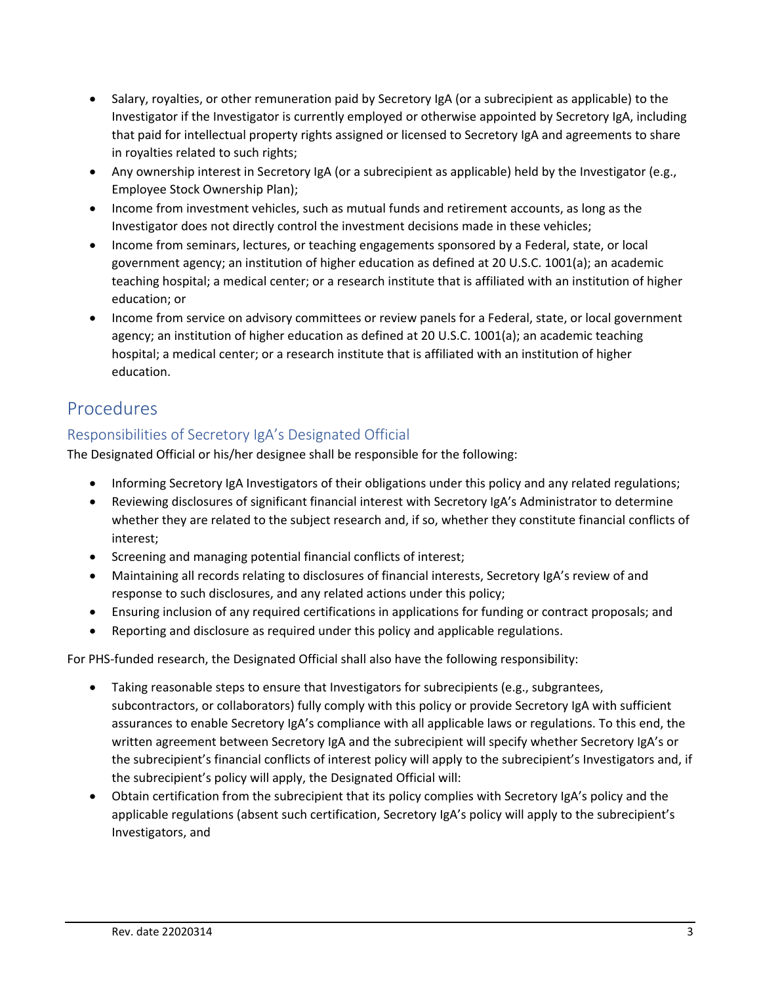- Salary, royalties, or other remuneration paid by Secretory IgA (or a subrecipient as applicable) to the Investigator if the Investigator is currently employed or otherwise appointed by Secretory IgA, including that paid for intellectual property rights assigned or licensed to Secretory IgA and agreements to share in royalties related to such rights;
- Any ownership interest in Secretory IgA (or a subrecipient as applicable) held by the Investigator (e.g., Employee Stock Ownership Plan);
- Income from investment vehicles, such as mutual funds and retirement accounts, as long as the Investigator does not directly control the investment decisions made in these vehicles;
- Income from seminars, lectures, or teaching engagements sponsored by a Federal, state, or local government agency; an institution of higher education as defined at 20 U.S.C. 1001(a); an academic teaching hospital; a medical center; or a research institute that is affiliated with an institution of higher education; or
- Income from service on advisory committees or review panels for a Federal, state, or local government agency; an institution of higher education as defined at 20 U.S.C. 1001(a); an academic teaching hospital; a medical center; or a research institute that is affiliated with an institution of higher education.

# Procedures

# Responsibilities of Secretory IgA's Designated Official

The Designated Official or his/her designee shall be responsible for the following:

- Informing Secretory IgA Investigators of their obligations under this policy and any related regulations;
- Reviewing disclosures of significant financial interest with Secretory IgA's Administrator to determine whether they are related to the subject research and, if so, whether they constitute financial conflicts of interest;
- Screening and managing potential financial conflicts of interest;
- Maintaining all records relating to disclosures of financial interests, Secretory IgA's review of and response to such disclosures, and any related actions under this policy;
- Ensuring inclusion of any required certifications in applications for funding or contract proposals; and
- Reporting and disclosure as required under this policy and applicable regulations.

For PHS-funded research, the Designated Official shall also have the following responsibility:

- Taking reasonable steps to ensure that Investigators for subrecipients (e.g., subgrantees, subcontractors, or collaborators) fully comply with this policy or provide Secretory IgA with sufficient assurances to enable Secretory IgA's compliance with all applicable laws or regulations. To this end, the written agreement between Secretory IgA and the subrecipient will specify whether Secretory IgA's or the subrecipient's financial conflicts of interest policy will apply to the subrecipient's Investigators and, if the subrecipient's policy will apply, the Designated Official will:
- Obtain certification from the subrecipient that its policy complies with Secretory IgA's policy and the applicable regulations (absent such certification, Secretory IgA's policy will apply to the subrecipient's Investigators, and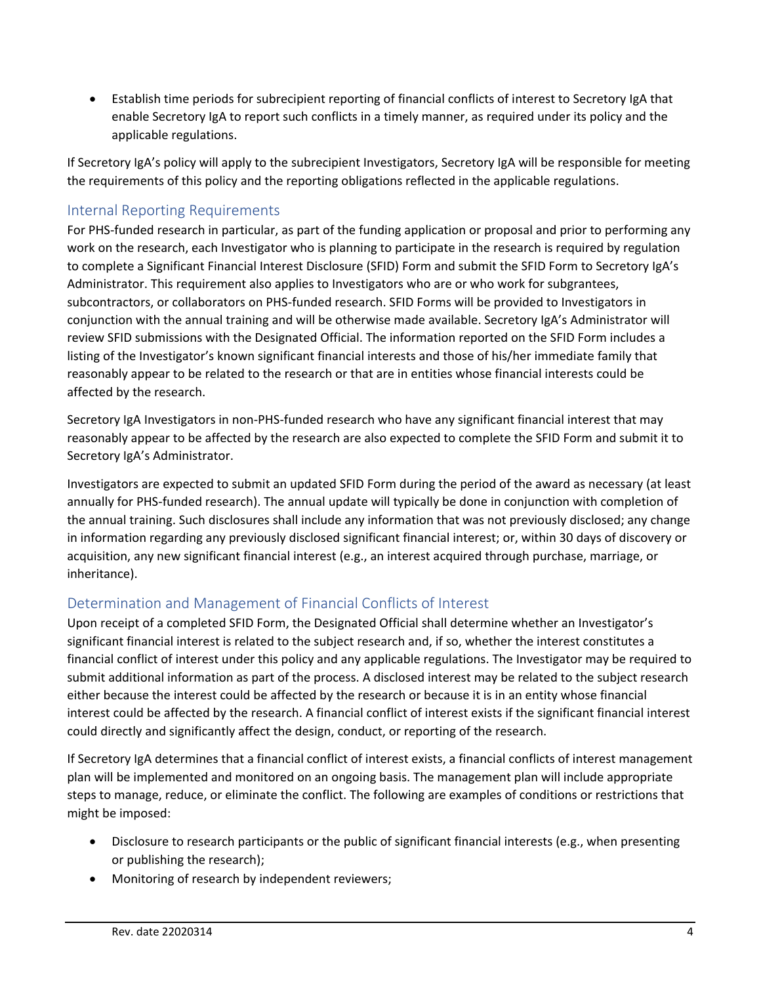• Establish time periods for subrecipient reporting of financial conflicts of interest to Secretory IgA that enable Secretory IgA to report such conflicts in a timely manner, as required under its policy and the applicable regulations.

If Secretory IgA's policy will apply to the subrecipient Investigators, Secretory IgA will be responsible for meeting the requirements of this policy and the reporting obligations reflected in the applicable regulations.

### Internal Reporting Requirements

For PHS-funded research in particular, as part of the funding application or proposal and prior to performing any work on the research, each Investigator who is planning to participate in the research is required by regulation to complete a Significant Financial Interest Disclosure (SFID) Form and submit the SFID Form to Secretory IgA's Administrator. This requirement also applies to Investigators who are or who work for subgrantees, subcontractors, or collaborators on PHS-funded research. SFID Forms will be provided to Investigators in conjunction with the annual training and will be otherwise made available. Secretory IgA's Administrator will review SFID submissions with the Designated Official. The information reported on the SFID Form includes a listing of the Investigator's known significant financial interests and those of his/her immediate family that reasonably appear to be related to the research or that are in entities whose financial interests could be affected by the research.

Secretory IgA Investigators in non-PHS-funded research who have any significant financial interest that may reasonably appear to be affected by the research are also expected to complete the SFID Form and submit it to Secretory IgA's Administrator.

Investigators are expected to submit an updated SFID Form during the period of the award as necessary (at least annually for PHS-funded research). The annual update will typically be done in conjunction with completion of the annual training. Such disclosures shall include any information that was not previously disclosed; any change in information regarding any previously disclosed significant financial interest; or, within 30 days of discovery or acquisition, any new significant financial interest (e.g., an interest acquired through purchase, marriage, or inheritance).

## Determination and Management of Financial Conflicts of Interest

Upon receipt of a completed SFID Form, the Designated Official shall determine whether an Investigator's significant financial interest is related to the subject research and, if so, whether the interest constitutes a financial conflict of interest under this policy and any applicable regulations. The Investigator may be required to submit additional information as part of the process. A disclosed interest may be related to the subject research either because the interest could be affected by the research or because it is in an entity whose financial interest could be affected by the research. A financial conflict of interest exists if the significant financial interest could directly and significantly affect the design, conduct, or reporting of the research.

If Secretory IgA determines that a financial conflict of interest exists, a financial conflicts of interest management plan will be implemented and monitored on an ongoing basis. The management plan will include appropriate steps to manage, reduce, or eliminate the conflict. The following are examples of conditions or restrictions that might be imposed:

- Disclosure to research participants or the public of significant financial interests (e.g., when presenting or publishing the research);
- Monitoring of research by independent reviewers;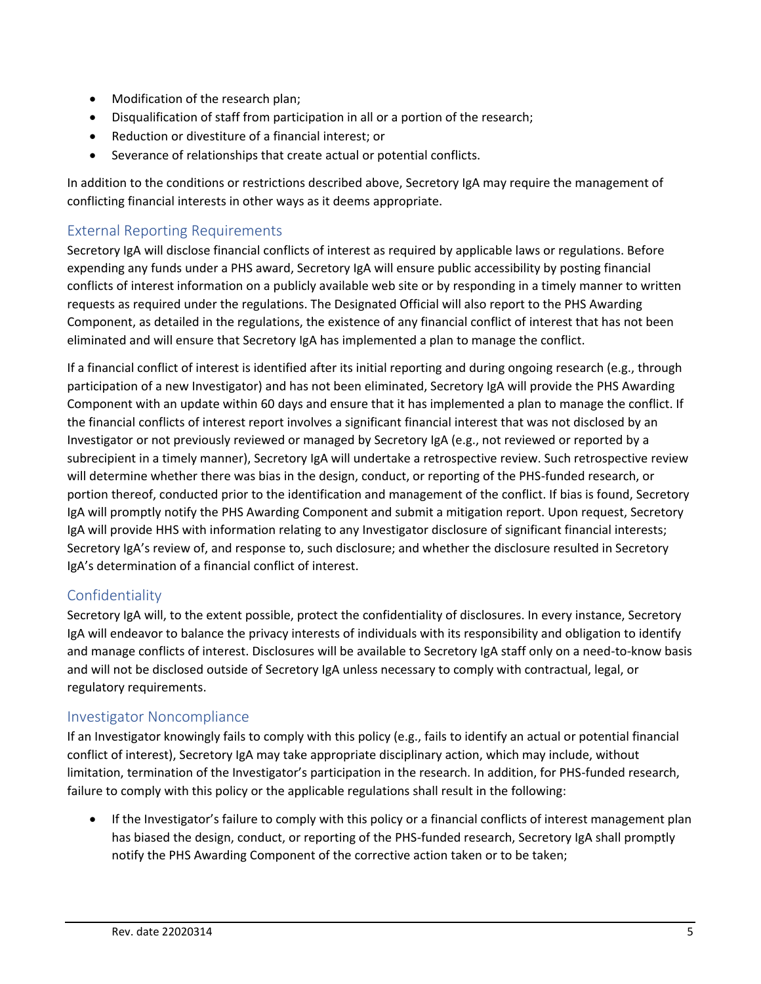- Modification of the research plan;
- Disqualification of staff from participation in all or a portion of the research;
- Reduction or divestiture of a financial interest; or
- Severance of relationships that create actual or potential conflicts.

In addition to the conditions or restrictions described above, Secretory IgA may require the management of conflicting financial interests in other ways as it deems appropriate.

### External Reporting Requirements

Secretory IgA will disclose financial conflicts of interest as required by applicable laws or regulations. Before expending any funds under a PHS award, Secretory IgA will ensure public accessibility by posting financial conflicts of interest information on a publicly available web site or by responding in a timely manner to written requests as required under the regulations. The Designated Official will also report to the PHS Awarding Component, as detailed in the regulations, the existence of any financial conflict of interest that has not been eliminated and will ensure that Secretory IgA has implemented a plan to manage the conflict.

If a financial conflict of interest is identified after its initial reporting and during ongoing research (e.g., through participation of a new Investigator) and has not been eliminated, Secretory IgA will provide the PHS Awarding Component with an update within 60 days and ensure that it has implemented a plan to manage the conflict. If the financial conflicts of interest report involves a significant financial interest that was not disclosed by an Investigator or not previously reviewed or managed by Secretory IgA (e.g., not reviewed or reported by a subrecipient in a timely manner), Secretory IgA will undertake a retrospective review. Such retrospective review will determine whether there was bias in the design, conduct, or reporting of the PHS-funded research, or portion thereof, conducted prior to the identification and management of the conflict. If bias is found, Secretory IgA will promptly notify the PHS Awarding Component and submit a mitigation report. Upon request, Secretory IgA will provide HHS with information relating to any Investigator disclosure of significant financial interests; Secretory IgA's review of, and response to, such disclosure; and whether the disclosure resulted in Secretory IgA's determination of a financial conflict of interest.

### Confidentiality

Secretory IgA will, to the extent possible, protect the confidentiality of disclosures. In every instance, Secretory IgA will endeavor to balance the privacy interests of individuals with its responsibility and obligation to identify and manage conflicts of interest. Disclosures will be available to Secretory IgA staff only on a need-to-know basis and will not be disclosed outside of Secretory IgA unless necessary to comply with contractual, legal, or regulatory requirements.

#### Investigator Noncompliance

If an Investigator knowingly fails to comply with this policy (e.g., fails to identify an actual or potential financial conflict of interest), Secretory IgA may take appropriate disciplinary action, which may include, without limitation, termination of the Investigator's participation in the research. In addition, for PHS-funded research, failure to comply with this policy or the applicable regulations shall result in the following:

• If the Investigator's failure to comply with this policy or a financial conflicts of interest management plan has biased the design, conduct, or reporting of the PHS-funded research, Secretory IgA shall promptly notify the PHS Awarding Component of the corrective action taken or to be taken;